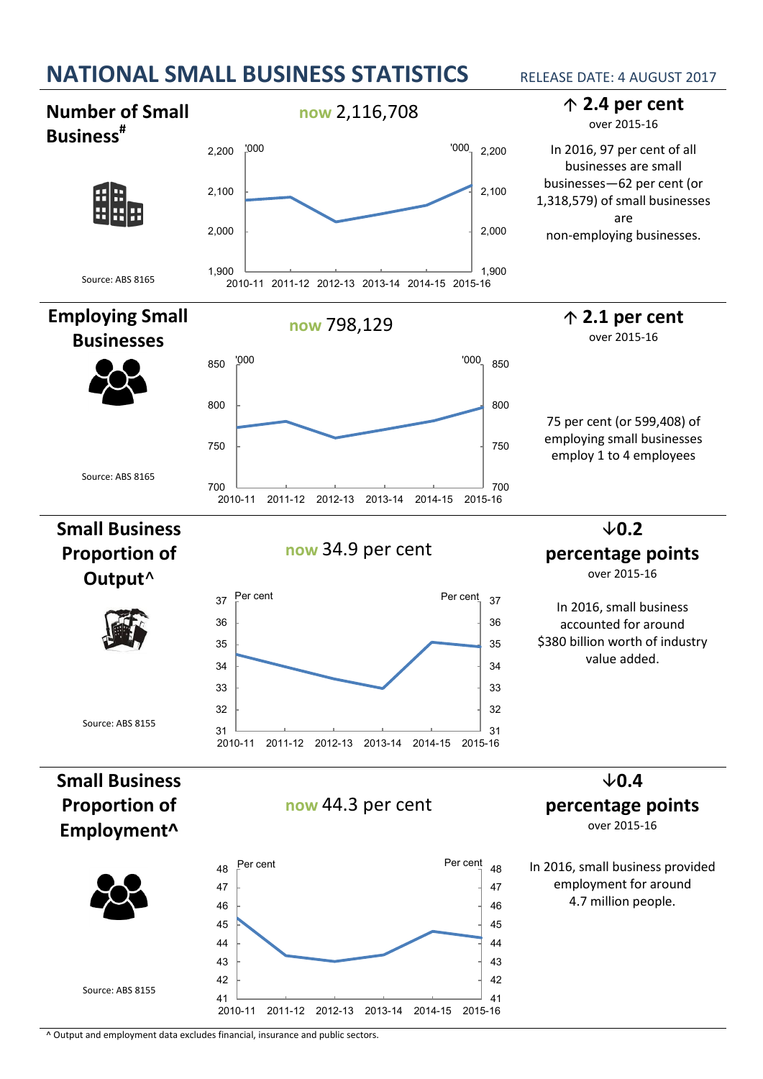

**now** 2,116,708 **2.4 per cent Number of Small**  over 2015-16 **Business#** In 2016, 97 per cent of all '000 '000 2,200 2,200 businesses are small businesses—62 per cent (or 2,100 2,100 開開 1,318,579) of small businesses are 2,000 2,000 non-employing businesses. 1,900 1,900 Source: ABS 8165 2010-11 2011-12 2012-13 2013-14 2014-15 2015-16 **Employing Small now** 798,129 **2.1 per cent** over 2015-16 **Businesses** '000 '000 850 850 800 800 75 per cent (or 599,408) of employing small businesses 750 750 employ 1 to 4 employees Source: ABS 8165  $\frac{1}{2010-11}$ \_\_\_\_\_\_\_\_\_ <sub>700</sub><br>2015-16 2011-12 2012-13 2013-14 2014-15 **Small Business**   $\times$ 0.2 **now** 34.9 per cent **Proportion of percentage points** over 2015-16 **Output**^ Per cent Per cent 37 37 In 2016, small business 36 36 accounted for around \$380 billion worth of industry 35 35 value added. 34 34 33 33 32 32 Source: ABS 8155 31 31 2010-11 2011-12 2012-13 2013-14 2014-15 2015-16 **Small Business**  $\n 0.4\n$ **Proportion of now** 44.3 per cent **percentage points** over 2015-16 **Employment^** Per cent Per cent 48 48 In 2016, small business provided employment for around 47 47 4.7 million people. 46 46 45 45 44 44 43 43 42 42 Source: ABS 8155 41 41 2010-11 2011-12 2012-13 2013-14 2014-15 2015-16

^ Output and employment data excludes financial, insurance and public sectors.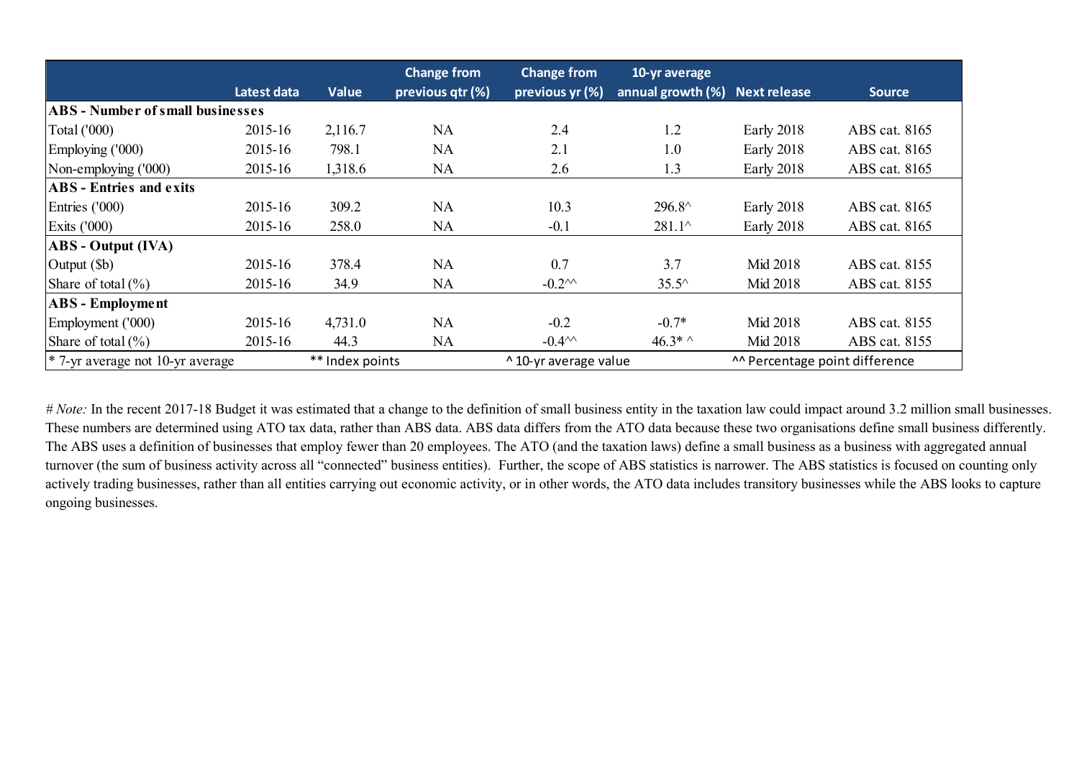|                                         |                 |              | <b>Change from</b> | <b>Change from</b>    | 10-yr average                  |                               |               |  |
|-----------------------------------------|-----------------|--------------|--------------------|-----------------------|--------------------------------|-------------------------------|---------------|--|
|                                         | Latest data     | <b>Value</b> | previous qtr (%)   | previous yr (%)       | annual growth (%) Next release |                               | <b>Source</b> |  |
| <b>ABS - Number of small businesses</b> |                 |              |                    |                       |                                |                               |               |  |
| Total ('000)                            | 2015-16         | 2,116.7      | <b>NA</b>          | 2.4                   | 1.2                            | Early 2018                    | ABS cat. 8165 |  |
| Employing ('000)                        | 2015-16         | 798.1        | <b>NA</b>          | 2.1                   | 1.0                            | <b>Early 2018</b>             | ABS cat. 8165 |  |
| Non-employing ('000)                    | 2015-16         | 1,318.6      | NA                 | 2.6                   | 1.3                            | <b>Early 2018</b>             | ABS cat. 8165 |  |
| <b>ABS</b> - Entries and exits          |                 |              |                    |                       |                                |                               |               |  |
| Entries ('000)                          | 2015-16         | 309.2        | <b>NA</b>          | 10.3                  | 296.8^                         | <b>Early 2018</b>             | ABS cat. 8165 |  |
| Exits $(1000)$                          | 2015-16         | 258.0        | NA                 | $-0.1$                | $281.1^{\circ}$                | <b>Early 2018</b>             | ABS cat. 8165 |  |
| <b>ABS</b> - Output (IVA)               |                 |              |                    |                       |                                |                               |               |  |
| $\vert$ Output ( $\delta$ b)            | 2015-16         | 378.4        | <b>NA</b>          | 0.7                   | 3.7                            | Mid 2018                      | ABS cat. 8155 |  |
| Share of total $(\% )$                  | 2015-16         | 34.9         | NA                 | $-0.2^{\prime\prime}$ | $35.5^{\circ}$                 | Mid 2018                      | ABS cat. 8155 |  |
| <b>ABS</b> - Employment                 |                 |              |                    |                       |                                |                               |               |  |
| Employment ('000)                       | 2015-16         | 4,731.0      | NA                 | $-0.2$                | $-0.7*$                        | Mid 2018                      | ABS cat. 8155 |  |
| Share of total $(\% )$                  | 2015-16         | 44.3         | NA                 | $-0.44$               | $46.3*$ ^                      | Mid 2018                      | ABS cat. 8155 |  |
| $*$ 7-yr average not 10-yr average      | ** Index points |              |                    | ^ 10-yr average value |                                | A Percentage point difference |               |  |

*# Note:* In the recent 2017-18 Budget it was estimated that a change to the definition of small business entity in the taxation law could impact around 3.2 million small businesses. These numbers are determined using ATO tax data, rather than ABS data. ABS data differs from the ATO data because these two organisations define small business differently. The ABS uses a definition of businesses that employ fewer than 20 employees. The ATO (and the taxation laws) define a small business as a business with aggregated annual turnover (the sum of business activity across all "connected" business entities). Further, the scope of ABS statistics is narrower. The ABS statistics is focused on counting only actively trading businesses, rather than all entities carrying out economic activity, or in other words, the ATO data includes transitory businesses while the ABS looks to capture ongoing businesses.